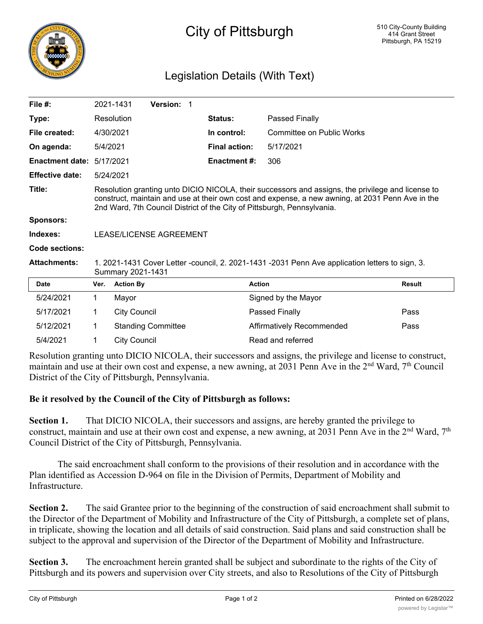

## City of Pittsburgh

## Legislation Details (With Text)

| File $#$ :             |                                                                                                                                                                                                                                                                                  | 2021-1431                 | Version: 1 |  |                      |                                  |               |  |
|------------------------|----------------------------------------------------------------------------------------------------------------------------------------------------------------------------------------------------------------------------------------------------------------------------------|---------------------------|------------|--|----------------------|----------------------------------|---------------|--|
| Type:                  |                                                                                                                                                                                                                                                                                  | Resolution                |            |  | <b>Status:</b>       | Passed Finally                   |               |  |
| File created:          |                                                                                                                                                                                                                                                                                  | 4/30/2021                 |            |  | In control:          | <b>Committee on Public Works</b> |               |  |
| On agenda:             | 5/4/2021                                                                                                                                                                                                                                                                         |                           |            |  | <b>Final action:</b> | 5/17/2021                        |               |  |
| <b>Enactment date:</b> | 5/17/2021                                                                                                                                                                                                                                                                        |                           |            |  | <b>Enactment #:</b>  | 306                              |               |  |
| <b>Effective date:</b> | 5/24/2021                                                                                                                                                                                                                                                                        |                           |            |  |                      |                                  |               |  |
| Title:                 | Resolution granting unto DICIO NICOLA, their successors and assigns, the privilege and license to<br>construct, maintain and use at their own cost and expense, a new awning, at 2031 Penn Ave in the<br>2nd Ward, 7th Council District of the City of Pittsburgh, Pennsylvania. |                           |            |  |                      |                                  |               |  |
| <b>Sponsors:</b>       |                                                                                                                                                                                                                                                                                  |                           |            |  |                      |                                  |               |  |
| Indexes:               | LEASE/LICENSE AGREEMENT                                                                                                                                                                                                                                                          |                           |            |  |                      |                                  |               |  |
| Code sections:         |                                                                                                                                                                                                                                                                                  |                           |            |  |                      |                                  |               |  |
| <b>Attachments:</b>    | 1. 2021-1431 Cover Letter -council, 2. 2021-1431 -2031 Penn Ave application letters to sign, 3.<br>Summary 2021-1431                                                                                                                                                             |                           |            |  |                      |                                  |               |  |
| <b>Date</b>            | Ver.                                                                                                                                                                                                                                                                             | <b>Action By</b>          |            |  |                      | <b>Action</b>                    | <b>Result</b> |  |
| 5/24/2021              | 1.                                                                                                                                                                                                                                                                               | Mayor                     |            |  |                      | Signed by the Mayor              |               |  |
| 5/17/2021              | 1.                                                                                                                                                                                                                                                                               | <b>City Council</b>       |            |  | Passed Finally       |                                  | Pass          |  |
| 5/12/2021              | 1                                                                                                                                                                                                                                                                                | <b>Standing Committee</b> |            |  |                      | Affirmatively Recommended        |               |  |
| 5/4/2021               | 1                                                                                                                                                                                                                                                                                | <b>City Council</b>       |            |  |                      | Read and referred                |               |  |

Resolution granting unto DICIO NICOLA, their successors and assigns, the privilege and license to construct, maintain and use at their own cost and expense, a new awning, at 2031 Penn Ave in the  $2<sup>nd</sup>$  Ward,  $7<sup>th</sup>$  Council District of the City of Pittsburgh, Pennsylvania.

## **Be it resolved by the Council of the City of Pittsburgh as follows:**

**Section 1.** That DICIO NICOLA, their successors and assigns, are hereby granted the privilege to construct, maintain and use at their own cost and expense, a new awning, at 2031 Penn Ave in the 2<sup>nd</sup> Ward, 7<sup>th</sup> Council District of the City of Pittsburgh, Pennsylvania.

The said encroachment shall conform to the provisions of their resolution and in accordance with the Plan identified as Accession D-964 on file in the Division of Permits, Department of Mobility and Infrastructure.

**Section 2.** The said Grantee prior to the beginning of the construction of said encroachment shall submit to the Director of the Department of Mobility and Infrastructure of the City of Pittsburgh, a complete set of plans, in triplicate, showing the location and all details of said construction. Said plans and said construction shall be subject to the approval and supervision of the Director of the Department of Mobility and Infrastructure.

**Section 3.** The encroachment herein granted shall be subject and subordinate to the rights of the City of Pittsburgh and its powers and supervision over City streets, and also to Resolutions of the City of Pittsburgh